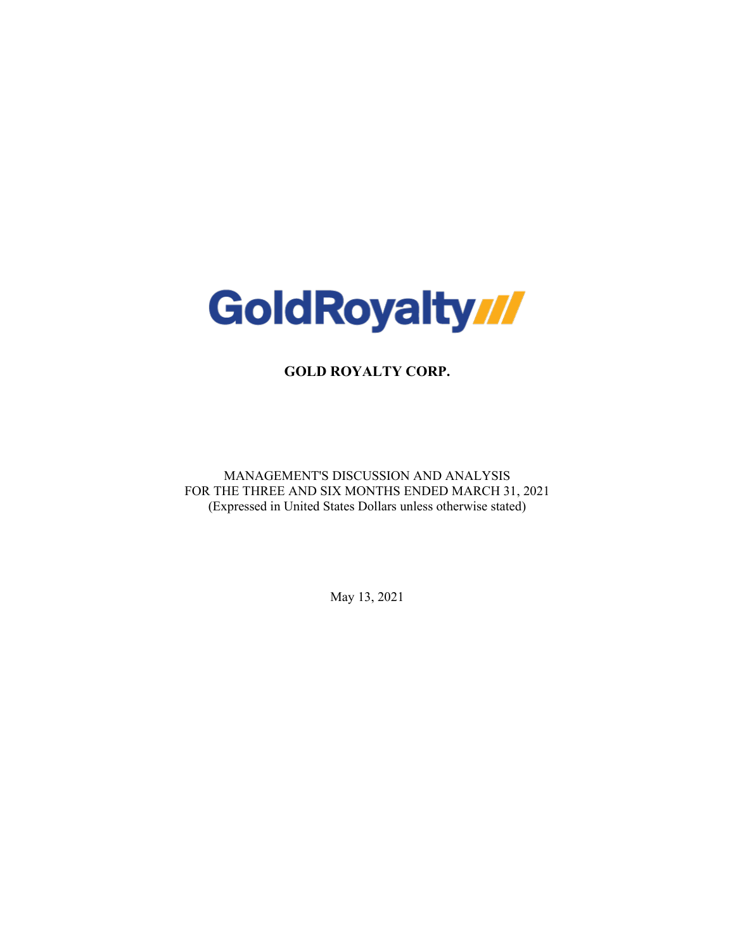

**GOLD ROYALTY CORP.**

MANAGEMENT'S DISCUSSION AND ANALYSIS FOR THE THREE AND SIX MONTHS ENDED MARCH 31, 2021 (Expressed in United States Dollars unless otherwise stated)

May 13, 2021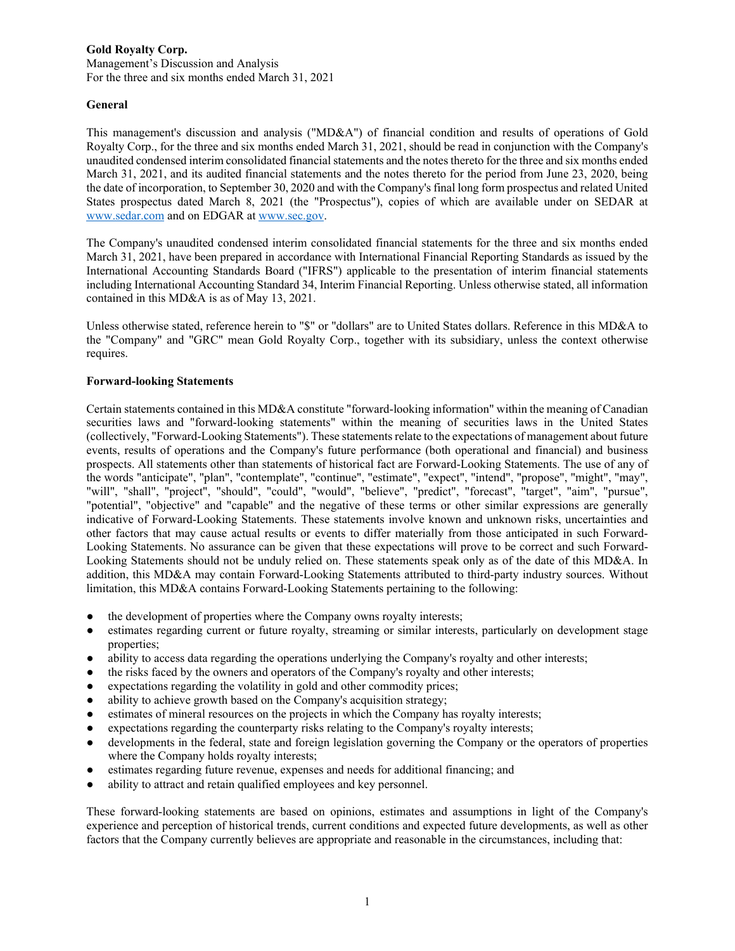Management's Discussion and Analysis For the three and six months ended March 31, 2021

## **General**

This management's discussion and analysis ("MD&A") of financial condition and results of operations of Gold Royalty Corp., for the three and six months ended March 31, 2021, should be read in conjunction with the Company's unaudited condensed interim consolidated financial statements and the notes thereto for the three and six months ended March 31, 2021, and its audited financial statements and the notes thereto for the period from June 23, 2020, being the date of incorporation, to September 30, 2020 and with the Company's final long form prospectus and related United States prospectus dated March 8, 2021 (the "Prospectus"), copies of which are available under on SEDAR at [www.sedar.com](http://www.sedar.com/) and on EDGAR a[t www.sec.gov.](http://www.sec.gov/edgar)

The Company's unaudited condensed interim consolidated financial statements for the three and six months ended March 31, 2021, have been prepared in accordance with International Financial Reporting Standards as issued by the International Accounting Standards Board ("IFRS") applicable to the presentation of interim financial statements including International Accounting Standard 34, Interim Financial Reporting. Unless otherwise stated, all information contained in this MD&A is as of May 13, 2021.

Unless otherwise stated, reference herein to "\$" or "dollars" are to United States dollars. Reference in this MD&A to the "Company" and "GRC" mean Gold Royalty Corp., together with its subsidiary, unless the context otherwise requires.

## **Forward-looking Statements**

Certain statements contained in this MD&A constitute "forward-looking information" within the meaning of Canadian securities laws and "forward-looking statements" within the meaning of securities laws in the United States (collectively, "Forward-Looking Statements"). These statements relate to the expectations of management about future events, results of operations and the Company's future performance (both operational and financial) and business prospects. All statements other than statements of historical fact are Forward-Looking Statements. The use of any of the words "anticipate", "plan", "contemplate", "continue", "estimate", "expect", "intend", "propose", "might", "may", "will", "shall", "project", "should", "could", "would", "believe", "predict", "forecast", "target", "aim", "pursue", "potential", "objective" and "capable" and the negative of these terms or other similar expressions are generally indicative of Forward-Looking Statements. These statements involve known and unknown risks, uncertainties and other factors that may cause actual results or events to differ materially from those anticipated in such Forward-Looking Statements. No assurance can be given that these expectations will prove to be correct and such Forward-Looking Statements should not be unduly relied on. These statements speak only as of the date of this MD&A. In addition, this MD&A may contain Forward-Looking Statements attributed to third-party industry sources. Without limitation, this MD&A contains Forward-Looking Statements pertaining to the following:

- the development of properties where the Company owns royalty interests;
- estimates regarding current or future royalty, streaming or similar interests, particularly on development stage properties;
- ability to access data regarding the operations underlying the Company's royalty and other interests;
- the risks faced by the owners and operators of the Company's royalty and other interests;
- expectations regarding the volatility in gold and other commodity prices;
- ability to achieve growth based on the Company's acquisition strategy;
- estimates of mineral resources on the projects in which the Company has royalty interests;
- expectations regarding the counterparty risks relating to the Company's royalty interests;
- developments in the federal, state and foreign legislation governing the Company or the operators of properties where the Company holds royalty interests;
- estimates regarding future revenue, expenses and needs for additional financing; and
- ability to attract and retain qualified employees and key personnel.

These forward-looking statements are based on opinions, estimates and assumptions in light of the Company's experience and perception of historical trends, current conditions and expected future developments, as well as other factors that the Company currently believes are appropriate and reasonable in the circumstances, including that: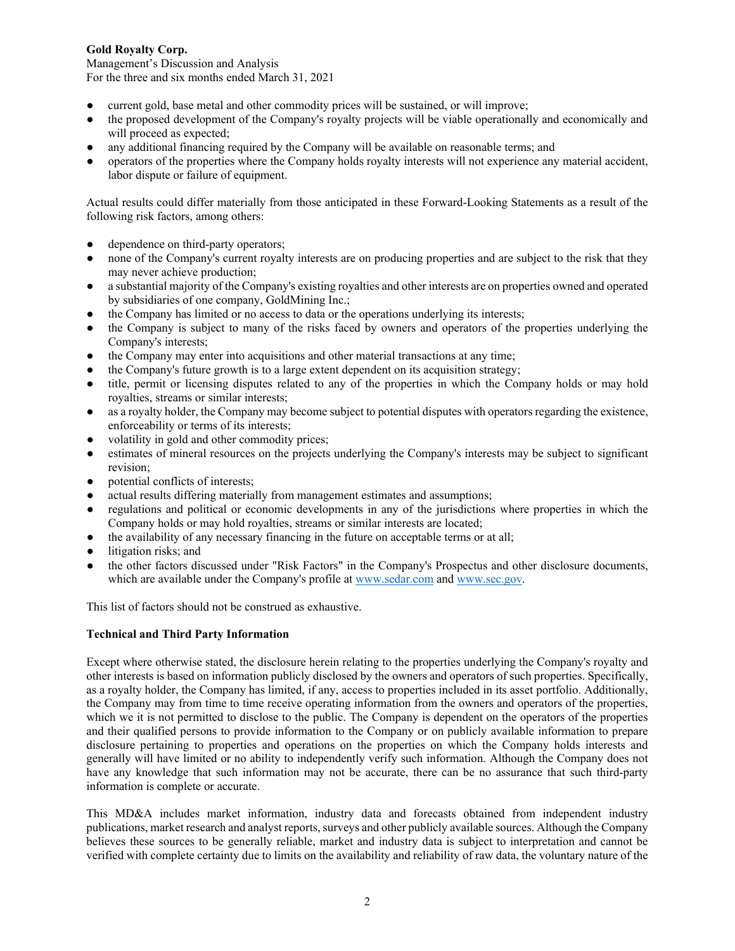Management's Discussion and Analysis For the three and six months ended March 31, 2021

- current gold, base metal and other commodity prices will be sustained, or will improve;
- the proposed development of the Company's royalty projects will be viable operationally and economically and will proceed as expected;
- any additional financing required by the Company will be available on reasonable terms; and
- operators of the properties where the Company holds royalty interests will not experience any material accident, labor dispute or failure of equipment.

Actual results could differ materially from those anticipated in these Forward-Looking Statements as a result of the following risk factors, among others:

- dependence on third-party operators;
- none of the Company's current royalty interests are on producing properties and are subject to the risk that they may never achieve production;
- a substantial majority of the Company's existing royalties and other interests are on properties owned and operated by subsidiaries of one company, GoldMining Inc.;
- the Company has limited or no access to data or the operations underlying its interests;
- the Company is subject to many of the risks faced by owners and operators of the properties underlying the Company's interests;
- the Company may enter into acquisitions and other material transactions at any time;
- the Company's future growth is to a large extent dependent on its acquisition strategy;
- title, permit or licensing disputes related to any of the properties in which the Company holds or may hold royalties, streams or similar interests;
- as a royalty holder, the Company may become subject to potential disputes with operators regarding the existence, enforceability or terms of its interests;
- volatility in gold and other commodity prices;
- estimates of mineral resources on the projects underlying the Company's interests may be subject to significant revision;
- potential conflicts of interests;
- actual results differing materially from management estimates and assumptions;
- regulations and political or economic developments in any of the jurisdictions where properties in which the Company holds or may hold royalties, streams or similar interests are located;
- the availability of any necessary financing in the future on acceptable terms or at all;
- litigation risks; and
- the other factors discussed under "Risk Factors" in the Company's Prospectus and other disclosure documents, which are available under the Company's profile at [www.sedar.com](http://www.sedar.com/) an[d www.sec.gov.](http://www.sec.gov/)

This list of factors should not be construed as exhaustive.

## **Technical and Third Party Information**

Except where otherwise stated, the disclosure herein relating to the properties underlying the Company's royalty and other interests is based on information publicly disclosed by the owners and operators of such properties. Specifically, as a royalty holder, the Company has limited, if any, access to properties included in its asset portfolio. Additionally, the Company may from time to time receive operating information from the owners and operators of the properties, which we it is not permitted to disclose to the public. The Company is dependent on the operators of the properties and their qualified persons to provide information to the Company or on publicly available information to prepare disclosure pertaining to properties and operations on the properties on which the Company holds interests and generally will have limited or no ability to independently verify such information. Although the Company does not have any knowledge that such information may not be accurate, there can be no assurance that such third-party information is complete or accurate.

This MD&A includes market information, industry data and forecasts obtained from independent industry publications, market research and analyst reports, surveys and other publicly available sources. Although the Company believes these sources to be generally reliable, market and industry data is subject to interpretation and cannot be verified with complete certainty due to limits on the availability and reliability of raw data, the voluntary nature of the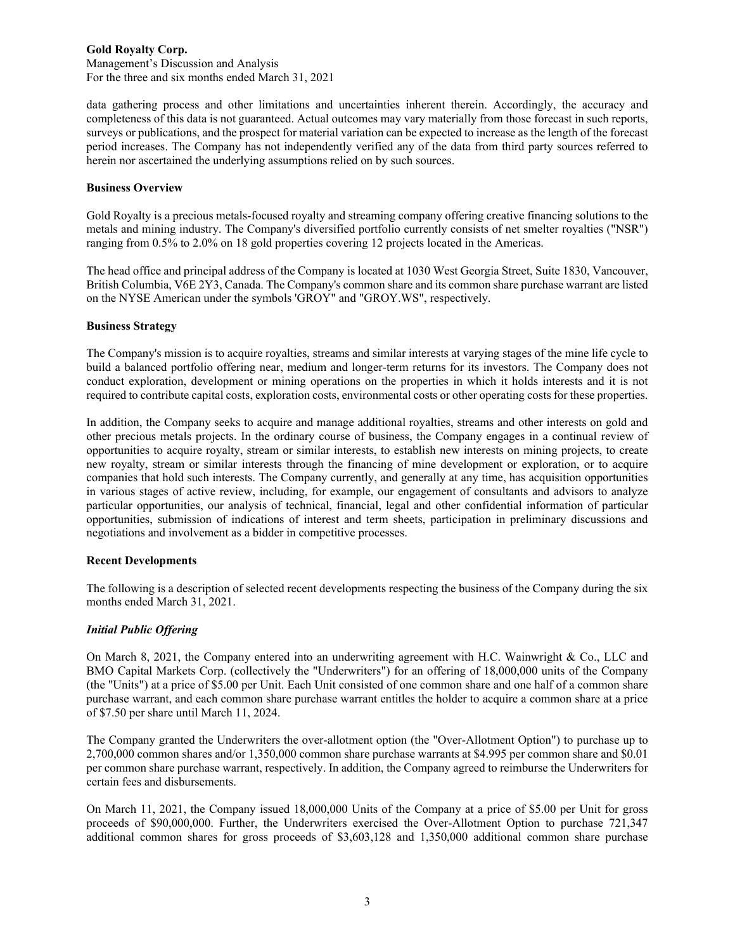Management's Discussion and Analysis For the three and six months ended March 31, 2021

data gathering process and other limitations and uncertainties inherent therein. Accordingly, the accuracy and completeness of this data is not guaranteed. Actual outcomes may vary materially from those forecast in such reports, surveys or publications, and the prospect for material variation can be expected to increase as the length of the forecast period increases. The Company has not independently verified any of the data from third party sources referred to herein nor ascertained the underlying assumptions relied on by such sources.

## **Business Overview**

Gold Royalty is a precious metals-focused royalty and streaming company offering creative financing solutions to the metals and mining industry. The Company's diversified portfolio currently consists of net smelter royalties ("NSR") ranging from 0.5% to 2.0% on 18 gold properties covering 12 projects located in the Americas.

The head office and principal address of the Company is located at 1030 West Georgia Street, Suite 1830, Vancouver, British Columbia, V6E 2Y3, Canada. The Company's common share and its common share purchase warrant are listed on the NYSE American under the symbols 'GROY" and "GROY.WS", respectively.

### **Business Strategy**

The Company's mission is to acquire royalties, streams and similar interests at varying stages of the mine life cycle to build a balanced portfolio offering near, medium and longer-term returns for its investors. The Company does not conduct exploration, development or mining operations on the properties in which it holds interests and it is not required to contribute capital costs, exploration costs, environmental costs or other operating costs for these properties.

In addition, the Company seeks to acquire and manage additional royalties, streams and other interests on gold and other precious metals projects. In the ordinary course of business, the Company engages in a continual review of opportunities to acquire royalty, stream or similar interests, to establish new interests on mining projects, to create new royalty, stream or similar interests through the financing of mine development or exploration, or to acquire companies that hold such interests. The Company currently, and generally at any time, has acquisition opportunities in various stages of active review, including, for example, our engagement of consultants and advisors to analyze particular opportunities, our analysis of technical, financial, legal and other confidential information of particular opportunities, submission of indications of interest and term sheets, participation in preliminary discussions and negotiations and involvement as a bidder in competitive processes.

## **Recent Developments**

The following is a description of selected recent developments respecting the business of the Company during the six months ended March 31, 2021.

## *Initial Public Offering*

On March 8, 2021, the Company entered into an underwriting agreement with H.C. Wainwright & Co., LLC and BMO Capital Markets Corp. (collectively the "Underwriters") for an offering of 18,000,000 units of the Company (the "Units") at a price of \$5.00 per Unit. Each Unit consisted of one common share and one half of a common share purchase warrant, and each common share purchase warrant entitles the holder to acquire a common share at a price of \$7.50 per share until March 11, 2024.

The Company granted the Underwriters the over-allotment option (the "Over-Allotment Option") to purchase up to 2,700,000 common shares and/or 1,350,000 common share purchase warrants at \$4.995 per common share and \$0.01 per common share purchase warrant, respectively. In addition, the Company agreed to reimburse the Underwriters for certain fees and disbursements.

On March 11, 2021, the Company issued 18,000,000 Units of the Company at a price of \$5.00 per Unit for gross proceeds of \$90,000,000. Further, the Underwriters exercised the Over-Allotment Option to purchase 721,347 additional common shares for gross proceeds of \$3,603,128 and 1,350,000 additional common share purchase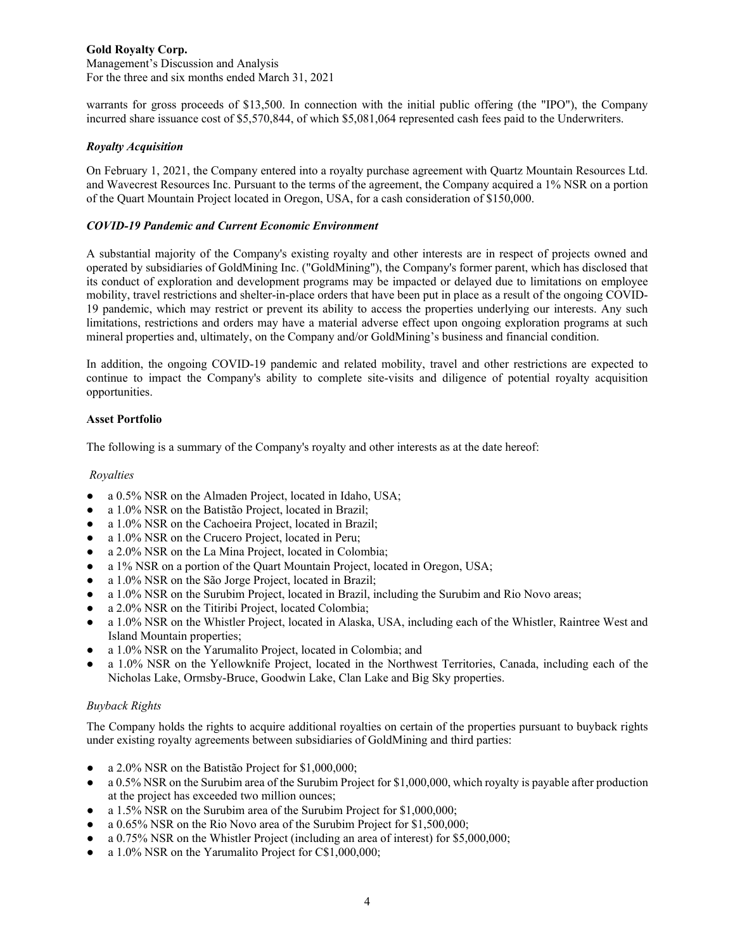Management's Discussion and Analysis For the three and six months ended March 31, 2021

warrants for gross proceeds of \$13,500. In connection with the initial public offering (the "IPO"), the Company incurred share issuance cost of \$5,570,844, of which \$5,081,064 represented cash fees paid to the Underwriters.

### *Royalty Acquisition*

On February 1, 2021, the Company entered into a royalty purchase agreement with Quartz Mountain Resources Ltd. and Wavecrest Resources Inc. Pursuant to the terms of the agreement, the Company acquired a 1% NSR on a portion of the Quart Mountain Project located in Oregon, USA, for a cash consideration of \$150,000.

### *COVID-19 Pandemic and Current Economic Environment*

A substantial majority of the Company's existing royalty and other interests are in respect of projects owned and operated by subsidiaries of GoldMining Inc. ("GoldMining"), the Company's former parent, which has disclosed that its conduct of exploration and development programs may be impacted or delayed due to limitations on employee mobility, travel restrictions and shelter-in-place orders that have been put in place as a result of the ongoing COVID-19 pandemic, which may restrict or prevent its ability to access the properties underlying our interests. Any such limitations, restrictions and orders may have a material adverse effect upon ongoing exploration programs at such mineral properties and, ultimately, on the Company and/or GoldMining's business and financial condition.

In addition, the ongoing COVID-19 pandemic and related mobility, travel and other restrictions are expected to continue to impact the Company's ability to complete site-visits and diligence of potential royalty acquisition opportunities.

### **Asset Portfolio**

The following is a summary of the Company's royalty and other interests as at the date hereof:

#### *Royalties*

- a 0.5% NSR on the Almaden Project, located in Idaho, USA;
- a 1.0% NSR on the Batistão Project, located in Brazil;
- a 1.0% NSR on the Cachoeira Project, located in Brazil;
- a 1.0% NSR on the Crucero Project, located in Peru;
- a 2.0% NSR on the La Mina Project, located in Colombia;
- a 1% NSR on a portion of the Quart Mountain Project, located in Oregon, USA;
- a 1.0% NSR on the São Jorge Project, located in Brazil;
- a 1.0% NSR on the Surubim Project, located in Brazil, including the Surubim and Rio Novo areas;
- a 2.0% NSR on the Titiribi Project, located Colombia;
- a 1.0% NSR on the Whistler Project, located in Alaska, USA, including each of the Whistler, Raintree West and Island Mountain properties;
- a 1.0% NSR on the Yarumalito Project, located in Colombia; and
- a 1.0% NSR on the Yellowknife Project, located in the Northwest Territories, Canada, including each of the Nicholas Lake, Ormsby-Bruce, Goodwin Lake, Clan Lake and Big Sky properties.

## *Buyback Rights*

The Company holds the rights to acquire additional royalties on certain of the properties pursuant to buyback rights under existing royalty agreements between subsidiaries of GoldMining and third parties:

- a 2.0% NSR on the Batistão Project for \$1,000,000;
- a 0.5% NSR on the Surubim area of the Surubim Project for \$1,000,000, which royalty is payable after production at the project has exceeded two million ounces;
- a 1.5% NSR on the Surubim area of the Surubim Project for \$1,000,000;
- a 0.65% NSR on the Rio Novo area of the Surubim Project for \$1,500,000;
- a 0.75% NSR on the Whistler Project (including an area of interest) for \$5,000,000;
- a  $1.0\%$  NSR on the Yarumalito Project for C\$1,000,000;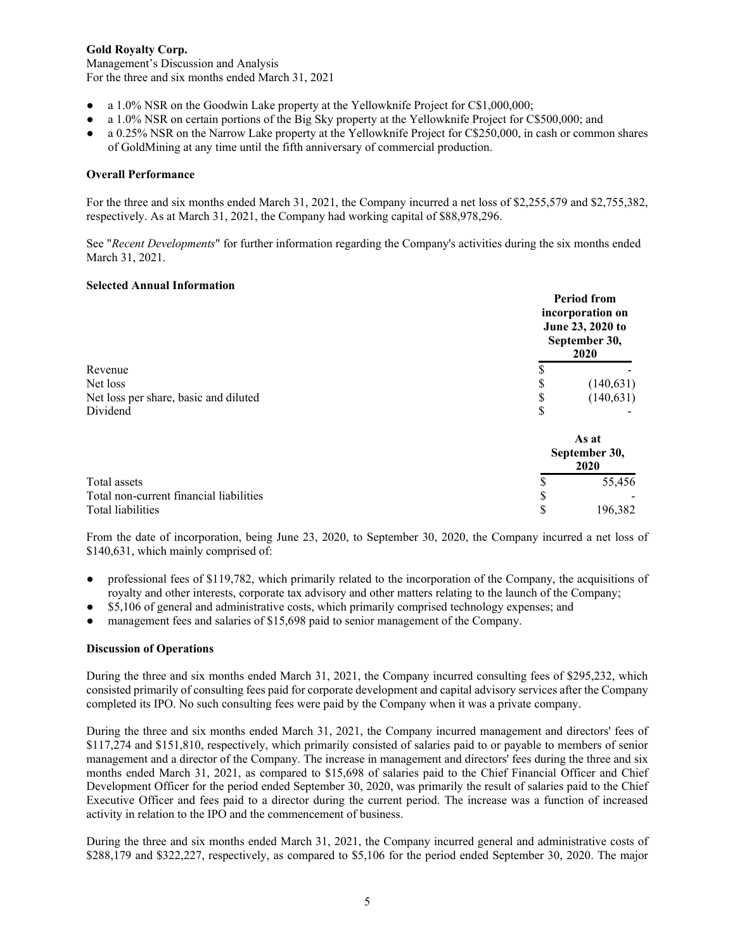Management's Discussion and Analysis For the three and six months ended March 31, 2021

- a 1.0% NSR on the Goodwin Lake property at the Yellowknife Project for C\$1,000,000;
- a 1.0% NSR on certain portions of the Big Sky property at the Yellowknife Project for C\$500,000; and
- a 0.25% NSR on the Narrow Lake property at the Yellowknife Project for C\$250,000, in cash or common shares of GoldMining at any time until the fifth anniversary of commercial production.

## **Overall Performance**

For the three and six months ended March 31, 2021, the Company incurred a net loss of \$2,255,579 and \$2,755,382, respectively. As at March 31, 2021, the Company had working capital of \$88,978,296.

See "*Recent Developments*" for further information regarding the Company's activities during the six months ended March 31, 2021.

#### **Selected Annual Information**

|                                         |   | <b>Period from</b><br>incorporation on<br>June 23, 2020 to<br>September 30,<br>2020 |
|-----------------------------------------|---|-------------------------------------------------------------------------------------|
| Revenue                                 |   |                                                                                     |
| Net loss                                |   | (140, 631)                                                                          |
| Net loss per share, basic and diluted   |   | (140, 631)                                                                          |
| Dividend                                | S |                                                                                     |
|                                         |   | As at<br>September 30,<br>2020                                                      |
| Total assets                            |   | 55,456                                                                              |
| Total non-current financial liabilities |   |                                                                                     |
| Total liabilities                       |   | 196,382                                                                             |

From the date of incorporation, being June 23, 2020, to September 30, 2020, the Company incurred a net loss of \$140,631, which mainly comprised of:

- professional fees of \$119,782, which primarily related to the incorporation of the Company, the acquisitions of royalty and other interests, corporate tax advisory and other matters relating to the launch of the Company;
- \$5,106 of general and administrative costs, which primarily comprised technology expenses; and
- management fees and salaries of \$15,698 paid to senior management of the Company.

#### **Discussion of Operations**

During the three and six months ended March 31, 2021, the Company incurred consulting fees of \$295,232, which consisted primarily of consulting fees paid for corporate development and capital advisory services after the Company completed its IPO. No such consulting fees were paid by the Company when it was a private company.

During the three and six months ended March 31, 2021, the Company incurred management and directors' fees of \$117,274 and \$151,810, respectively, which primarily consisted of salaries paid to or payable to members of senior management and a director of the Company. The increase in management and directors' fees during the three and six months ended March 31, 2021, as compared to \$15,698 of salaries paid to the Chief Financial Officer and Chief Development Officer for the period ended September 30, 2020, was primarily the result of salaries paid to the Chief Executive Officer and fees paid to a director during the current period. The increase was a function of increased activity in relation to the IPO and the commencement of business.

During the three and six months ended March 31, 2021, the Company incurred general and administrative costs of \$288,179 and \$322,227, respectively, as compared to \$5,106 for the period ended September 30, 2020. The major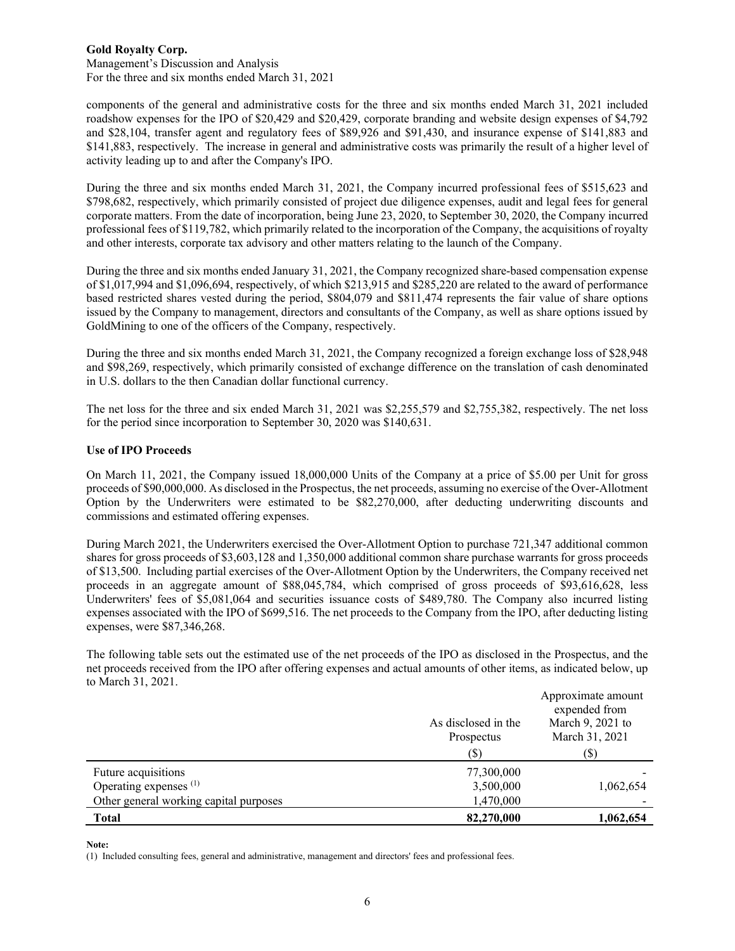Management's Discussion and Analysis For the three and six months ended March 31, 2021

components of the general and administrative costs for the three and six months ended March 31, 2021 included roadshow expenses for the IPO of \$20,429 and \$20,429, corporate branding and website design expenses of \$4,792 and \$28,104, transfer agent and regulatory fees of \$89,926 and \$91,430, and insurance expense of \$141,883 and \$141,883, respectively. The increase in general and administrative costs was primarily the result of a higher level of activity leading up to and after the Company's IPO.

During the three and six months ended March 31, 2021, the Company incurred professional fees of \$515,623 and \$798,682, respectively, which primarily consisted of project due diligence expenses, audit and legal fees for general corporate matters. From the date of incorporation, being June 23, 2020, to September 30, 2020, the Company incurred professional fees of \$119,782, which primarily related to the incorporation of the Company, the acquisitions of royalty and other interests, corporate tax advisory and other matters relating to the launch of the Company.

During the three and six months ended January 31, 2021, the Company recognized share-based compensation expense of \$1,017,994 and \$1,096,694, respectively, of which \$213,915 and \$285,220 are related to the award of performance based restricted shares vested during the period, \$804,079 and \$811,474 represents the fair value of share options issued by the Company to management, directors and consultants of the Company, as well as share options issued by GoldMining to one of the officers of the Company, respectively.

During the three and six months ended March 31, 2021, the Company recognized a foreign exchange loss of \$28,948 and \$98,269, respectively, which primarily consisted of exchange difference on the translation of cash denominated in U.S. dollars to the then Canadian dollar functional currency.

The net loss for the three and six ended March 31, 2021 was \$2,255,579 and \$2,755,382, respectively. The net loss for the period since incorporation to September 30, 2020 was \$140,631.

## **Use of IPO Proceeds**

On March 11, 2021, the Company issued 18,000,000 Units of the Company at a price of \$5.00 per Unit for gross proceeds of \$90,000,000. As disclosed in the Prospectus, the net proceeds, assuming no exercise of the Over-Allotment Option by the Underwriters were estimated to be \$82,270,000, after deducting underwriting discounts and commissions and estimated offering expenses.

During March 2021, the Underwriters exercised the Over-Allotment Option to purchase 721,347 additional common shares for gross proceeds of \$3,603,128 and 1,350,000 additional common share purchase warrants for gross proceeds of \$13,500. Including partial exercises of the Over-Allotment Option by the Underwriters, the Company received net proceeds in an aggregate amount of \$88,045,784, which comprised of gross proceeds of \$93,616,628, less Underwriters' fees of \$5,081,064 and securities issuance costs of \$489,780. The Company also incurred listing expenses associated with the IPO of \$699,516. The net proceeds to the Company from the IPO, after deducting listing expenses, were \$87,346,268.

The following table sets out the estimated use of the net proceeds of the IPO as disclosed in the Prospectus, and the net proceeds received from the IPO after offering expenses and actual amounts of other items, as indicated below, up to March 31, 2021.

|                                        |                                   | Approximate amount<br>expended from |
|----------------------------------------|-----------------------------------|-------------------------------------|
|                                        | As disclosed in the<br>Prospectus | March 9, 2021 to<br>March 31, 2021  |
|                                        | (S)                               | (\$`                                |
| Future acquisitions                    | 77,300,000                        |                                     |
| Operating expenses (1)                 | 3,500,000                         | 1,062,654                           |
| Other general working capital purposes | 1,470,000                         |                                     |
| <b>Total</b>                           | 82,270,000                        | 1,062,654                           |

**Note:**

(1)Included consulting fees, general and administrative, management and directors' fees and professional fees.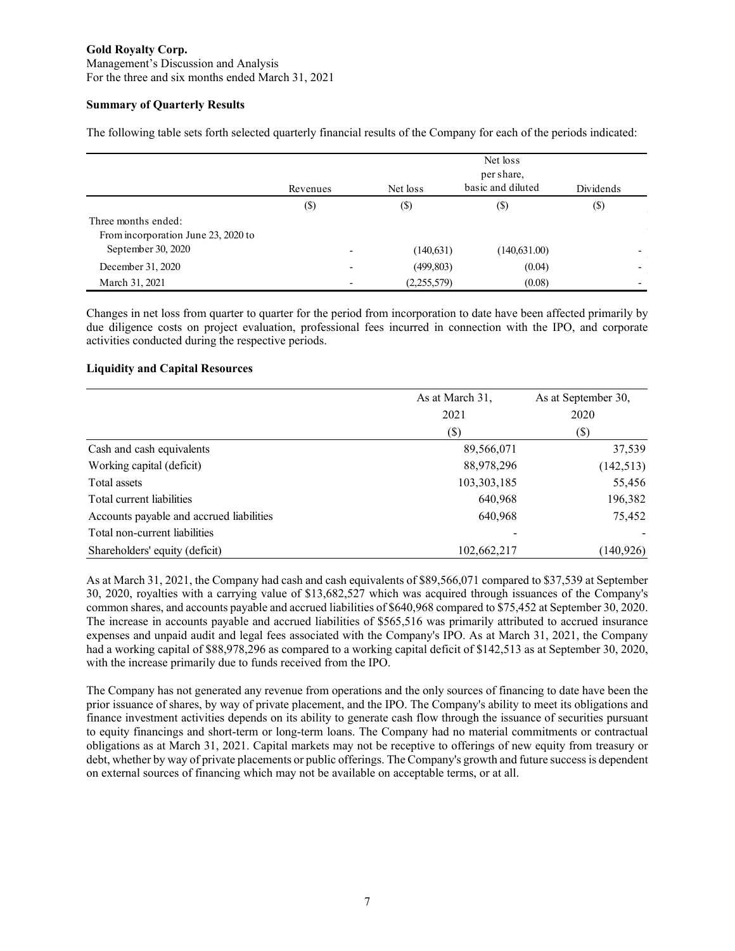Management's Discussion and Analysis For the three and six months ended March 31, 2021

# **Summary of Quarterly Results**

The following table sets forth selected quarterly financial results of the Company for each of the periods indicated:

|                                                            | Revenues                   | Net loss    | Net loss<br>per share,<br>basic and diluted<br>Dividends |                          |
|------------------------------------------------------------|----------------------------|-------------|----------------------------------------------------------|--------------------------|
|                                                            | $\left( \mathbb{S}\right)$ | $($ \$      | (\$)                                                     | $(\$)$                   |
| Three months ended:<br>From incorporation June 23, 2020 to |                            |             |                                                          |                          |
| September 30, 2020                                         | $\overline{\phantom{0}}$   | (140, 631)  | (140, 631.00)                                            | $\overline{\phantom{0}}$ |
| December 31, 2020                                          |                            | (499, 803)  | (0.04)                                                   | $\overline{\phantom{0}}$ |
| March 31, 2021                                             |                            | (2,255,579) | (0.08)                                                   | $\overline{\phantom{0}}$ |

Changes in net loss from quarter to quarter for the period from incorporation to date have been affected primarily by due diligence costs on project evaluation, professional fees incurred in connection with the IPO, and corporate activities conducted during the respective periods.

# **Liquidity and Capital Resources**

|                                          | As at March 31, | As at September 30, |  |
|------------------------------------------|-----------------|---------------------|--|
|                                          | 2021            | 2020                |  |
|                                          | (\$)            | $(\$\)$             |  |
| Cash and cash equivalents                | 89,566,071      | 37,539              |  |
| Working capital (deficit)                | 88,978,296      | (142, 513)          |  |
| Total assets                             | 103,303,185     | 55,456              |  |
| Total current liabilities                | 640,968         | 196,382             |  |
| Accounts payable and accrued liabilities | 640,968         | 75,452              |  |
| Total non-current liabilities            |                 |                     |  |
| Shareholders' equity (deficit)           | 102,662,217     | (140, 926)          |  |

As at March 31, 2021, the Company had cash and cash equivalents of \$89,566,071 compared to \$37,539 at September 30, 2020, royalties with a carrying value of \$13,682,527 which was acquired through issuances of the Company's common shares, and accounts payable and accrued liabilities of \$640,968 compared to \$75,452 at September 30, 2020. The increase in accounts payable and accrued liabilities of \$565,516 was primarily attributed to accrued insurance expenses and unpaid audit and legal fees associated with the Company's IPO. As at March 31, 2021, the Company had a working capital of \$88,978,296 as compared to a working capital deficit of \$142,513 as at September 30, 2020, with the increase primarily due to funds received from the IPO.

The Company has not generated any revenue from operations and the only sources of financing to date have been the prior issuance of shares, by way of private placement, and the IPO. The Company's ability to meet its obligations and finance investment activities depends on its ability to generate cash flow through the issuance of securities pursuant to equity financings and short-term or long-term loans. The Company had no material commitments or contractual obligations as at March 31, 2021. Capital markets may not be receptive to offerings of new equity from treasury or debt, whether by way of private placements or public offerings. The Company's growth and future success is dependent on external sources of financing which may not be available on acceptable terms, or at all.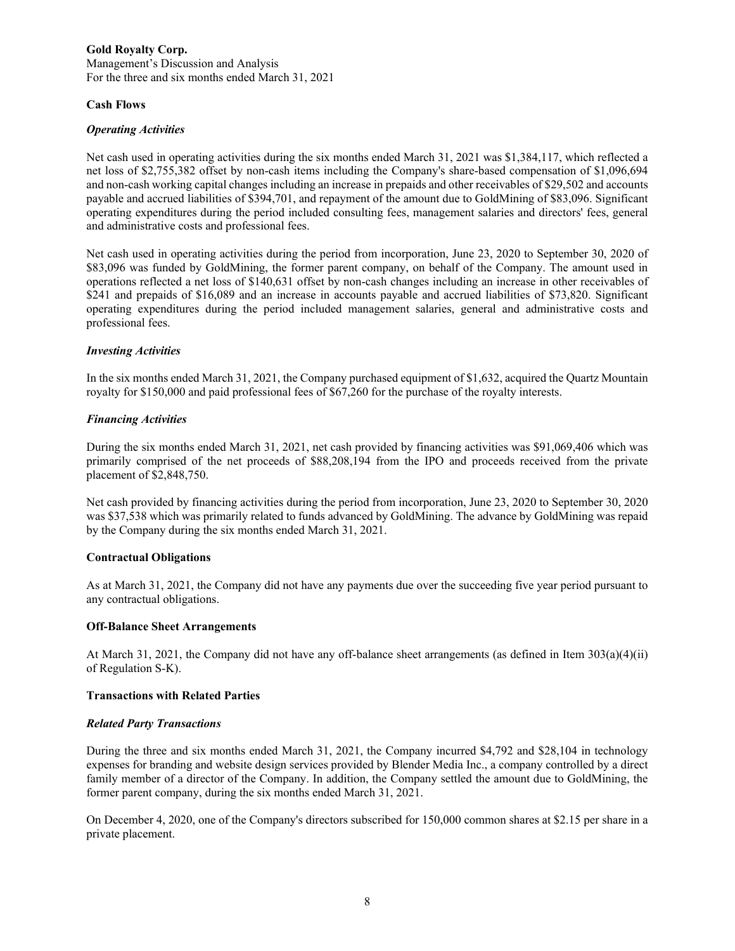#### **Gold Royalty Corp.** Management's Discussion and Analysis For the three and six months ended March 31, 2021

## **Cash Flows**

### *Operating Activities*

Net cash used in operating activities during the six months ended March 31, 2021 was \$1,384,117, which reflected a net loss of \$2,755,382 offset by non-cash items including the Company's share-based compensation of \$1,096,694 and non-cash working capital changes including an increase in prepaids and other receivables of \$29,502 and accounts payable and accrued liabilities of \$394,701, and repayment of the amount due to GoldMining of \$83,096. Significant operating expenditures during the period included consulting fees, management salaries and directors' fees, general and administrative costs and professional fees.

Net cash used in operating activities during the period from incorporation, June 23, 2020 to September 30, 2020 of \$83,096 was funded by GoldMining, the former parent company, on behalf of the Company. The amount used in operations reflected a net loss of \$140,631 offset by non-cash changes including an increase in other receivables of \$241 and prepaids of \$16,089 and an increase in accounts payable and accrued liabilities of \$73,820. Significant operating expenditures during the period included management salaries, general and administrative costs and professional fees.

### *Investing Activities*

In the six months ended March 31, 2021, the Company purchased equipment of \$1,632, acquired the Quartz Mountain royalty for \$150,000 and paid professional fees of \$67,260 for the purchase of the royalty interests.

## *Financing Activities*

During the six months ended March 31, 2021, net cash provided by financing activities was \$91,069,406 which was primarily comprised of the net proceeds of \$88,208,194 from the IPO and proceeds received from the private placement of \$2,848,750.

Net cash provided by financing activities during the period from incorporation, June 23, 2020 to September 30, 2020 was \$37,538 which was primarily related to funds advanced by GoldMining. The advance by GoldMining was repaid by the Company during the six months ended March 31, 2021.

#### **Contractual Obligations**

As at March 31, 2021, the Company did not have any payments due over the succeeding five year period pursuant to any contractual obligations.

### **Off-Balance Sheet Arrangements**

At March 31, 2021, the Company did not have any off-balance sheet arrangements (as defined in Item 303(a)(4)(ii) of Regulation S-K).

#### **Transactions with Related Parties**

#### *Related Party Transactions*

During the three and six months ended March 31, 2021, the Company incurred \$4,792 and \$28,104 in technology expenses for branding and website design services provided by Blender Media Inc., a company controlled by a direct family member of a director of the Company. In addition, the Company settled the amount due to GoldMining, the former parent company, during the six months ended March 31, 2021.

On December 4, 2020, one of the Company's directors subscribed for 150,000 common shares at \$2.15 per share in a private placement.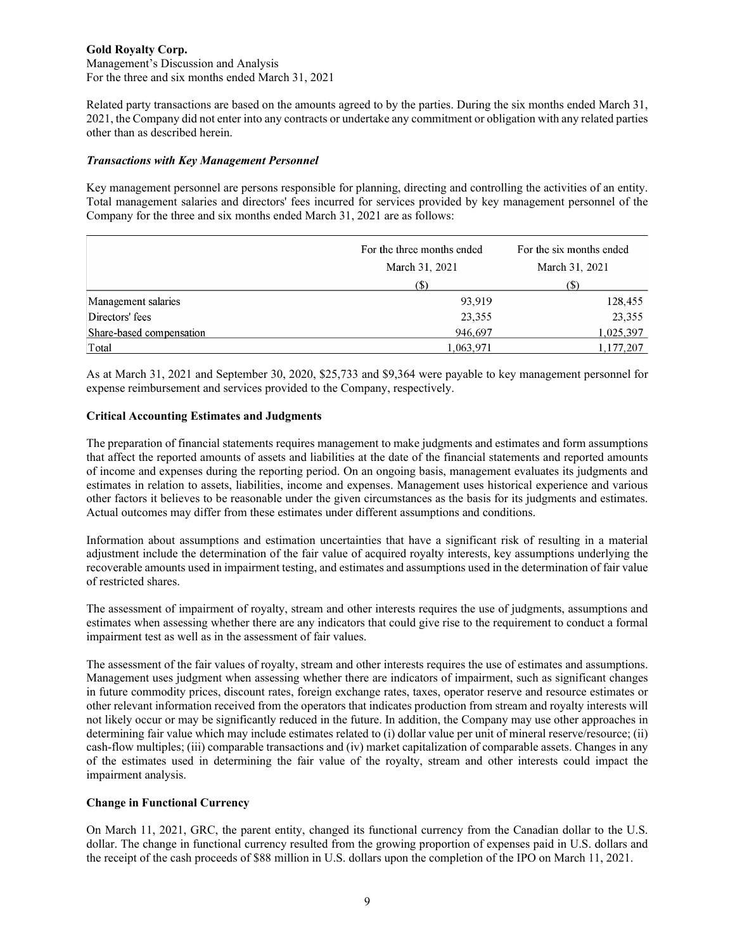### **Gold Royalty Corp.** Management's Discussion and Analysis For the three and six months ended March 31, 2021

Related party transactions are based on the amounts agreed to by the parties. During the six months ended March 31,

2021, the Company did not enter into any contracts or undertake any commitment or obligation with any related parties other than as described herein.

## *Transactions with Key Management Personnel*

Key management personnel are persons responsible for planning, directing and controlling the activities of an entity. Total management salaries and directors' fees incurred for services provided by key management personnel of the Company for the three and six months ended March 31, 2021 are as follows:

|                          | For the three months ended | For the six months ended |  |
|--------------------------|----------------------------|--------------------------|--|
|                          | March 31, 2021             | March 31, 2021           |  |
|                          | $(\$)$                     | (S)                      |  |
| Management salaries      | 93.919                     | 128,455                  |  |
| Directors' fees          | 23,355                     | 23,355                   |  |
| Share-based compensation | 946,697                    | 1,025,397                |  |
| Total                    | 1,063,971                  | 1,177,207                |  |

As at March 31, 2021 and September 30, 2020, \$25,733 and \$9,364 were payable to key management personnel for expense reimbursement and services provided to the Company, respectively.

## **Critical Accounting Estimates and Judgments**

The preparation of financial statements requires management to make judgments and estimates and form assumptions that affect the reported amounts of assets and liabilities at the date of the financial statements and reported amounts of income and expenses during the reporting period. On an ongoing basis, management evaluates its judgments and estimates in relation to assets, liabilities, income and expenses. Management uses historical experience and various other factors it believes to be reasonable under the given circumstances as the basis for its judgments and estimates. Actual outcomes may differ from these estimates under different assumptions and conditions.

Information about assumptions and estimation uncertainties that have a significant risk of resulting in a material adjustment include the determination of the fair value of acquired royalty interests, key assumptions underlying the recoverable amounts used in impairment testing, and estimates and assumptions used in the determination of fair value of restricted shares.

The assessment of impairment of royalty, stream and other interests requires the use of judgments, assumptions and estimates when assessing whether there are any indicators that could give rise to the requirement to conduct a formal impairment test as well as in the assessment of fair values.

The assessment of the fair values of royalty, stream and other interests requires the use of estimates and assumptions. Management uses judgment when assessing whether there are indicators of impairment, such as significant changes in future commodity prices, discount rates, foreign exchange rates, taxes, operator reserve and resource estimates or other relevant information received from the operators that indicates production from stream and royalty interests will not likely occur or may be significantly reduced in the future. In addition, the Company may use other approaches in determining fair value which may include estimates related to (i) dollar value per unit of mineral reserve/resource; (ii) cash-flow multiples; (iii) comparable transactions and (iv) market capitalization of comparable assets. Changes in any of the estimates used in determining the fair value of the royalty, stream and other interests could impact the impairment analysis.

## **Change in Functional Currency**

On March 11, 2021, GRC, the parent entity, changed its functional currency from the Canadian dollar to the U.S. dollar. The change in functional currency resulted from the growing proportion of expenses paid in U.S. dollars and the receipt of the cash proceeds of \$88 million in U.S. dollars upon the completion of the IPO on March 11, 2021.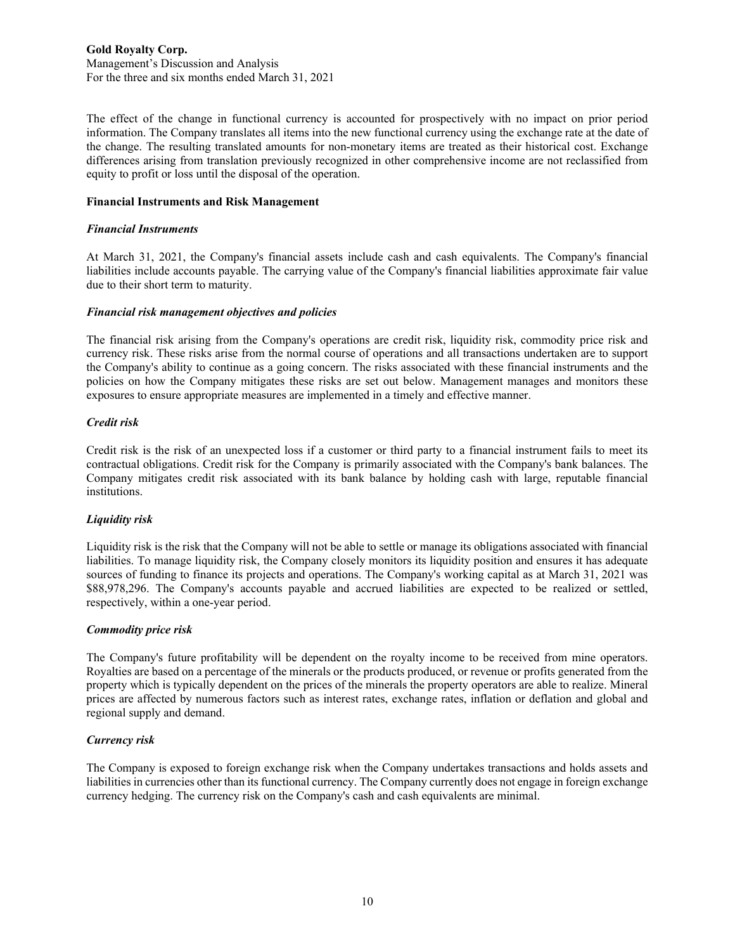### **Gold Royalty Corp.** Management's Discussion and Analysis For the three and six months ended March 31, 2021

The effect of the change in functional currency is accounted for prospectively with no impact on prior period information. The Company translates all items into the new functional currency using the exchange rate at the date of the change. The resulting translated amounts for non-monetary items are treated as their historical cost. Exchange differences arising from translation previously recognized in other comprehensive income are not reclassified from equity to profit or loss until the disposal of the operation.

#### **Financial Instruments and Risk Management**

### *Financial Instruments*

At March 31, 2021, the Company's financial assets include cash and cash equivalents. The Company's financial liabilities include accounts payable. The carrying value of the Company's financial liabilities approximate fair value due to their short term to maturity.

### *Financial risk management objectives and policies*

The financial risk arising from the Company's operations are credit risk, liquidity risk, commodity price risk and currency risk. These risks arise from the normal course of operations and all transactions undertaken are to support the Company's ability to continue as a going concern. The risks associated with these financial instruments and the policies on how the Company mitigates these risks are set out below. Management manages and monitors these exposures to ensure appropriate measures are implemented in a timely and effective manner.

### *Credit risk*

Credit risk is the risk of an unexpected loss if a customer or third party to a financial instrument fails to meet its contractual obligations. Credit risk for the Company is primarily associated with the Company's bank balances. The Company mitigates credit risk associated with its bank balance by holding cash with large, reputable financial institutions.

## *Liquidity risk*

Liquidity risk is the risk that the Company will not be able to settle or manage its obligations associated with financial liabilities. To manage liquidity risk, the Company closely monitors its liquidity position and ensures it has adequate sources of funding to finance its projects and operations. The Company's working capital as at March 31, 2021 was \$88,978,296. The Company's accounts payable and accrued liabilities are expected to be realized or settled, respectively, within a one-year period.

#### *Commodity price risk*

The Company's future profitability will be dependent on the royalty income to be received from mine operators. Royalties are based on a percentage of the minerals or the products produced, or revenue or profits generated from the property which is typically dependent on the prices of the minerals the property operators are able to realize. Mineral prices are affected by numerous factors such as interest rates, exchange rates, inflation or deflation and global and regional supply and demand.

## *Currency risk*

The Company is exposed to foreign exchange risk when the Company undertakes transactions and holds assets and liabilities in currencies other than its functional currency. The Company currently does not engage in foreign exchange currency hedging. The currency risk on the Company's cash and cash equivalents are minimal.